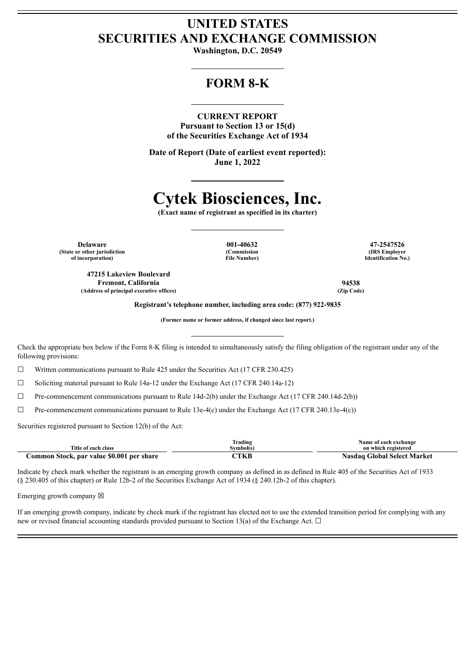## **UNITED STATES SECURITIES AND EXCHANGE COMMISSION**

**Washington, D.C. 20549**

## **FORM 8-K**

### **CURRENT REPORT**

**Pursuant to Section 13 or 15(d) of the Securities Exchange Act of 1934**

**Date of Report (Date of earliest event reported): June 1, 2022**

# **Cytek Biosciences, Inc.**

**(Exact name of registrant as specified in its charter)**

**Delaware 001-40632 47-2547526 (State or other jurisdiction of incorporation)**

**(Commission File Number)**

**(IRS Employer Identification No.)**

**47215 Lakeview Boulevard Fremont, California 94538 (Address of principal executive offices) (Zip Code)**

**Registrant's telephone number, including area code: (877) 922-9835**

**(Former name or former address, if changed since last report.)**

Check the appropriate box below if the Form 8-K filing is intended to simultaneously satisfy the filing obligation of the registrant under any of the following provisions:

☐ Written communications pursuant to Rule 425 under the Securities Act (17 CFR 230.425)

 $\Box$  Soliciting material pursuant to Rule 14a-12 under the Exchange Act (17 CFR 240.14a-12)

☐ Pre-commencement communications pursuant to Rule 14d-2(b) under the Exchange Act (17 CFR 240.14d-2(b))

 $\Box$  Pre-commencement communications pursuant to Rule 13e-4(c) under the Exchange Act (17 CFR 240.13e-4(c))

Securities registered pursuant to Section 12(b) of the Act:

| Title of each class                       | Trading<br>Symbol(s) | Name of each exchange<br>on which registered |
|-------------------------------------------|----------------------|----------------------------------------------|
| Common Stock, par value \$0.001 per share | CTKB                 | Nasdag Global Select Market                  |

Indicate by check mark whether the registrant is an emerging growth company as defined in as defined in Rule 405 of the Securities Act of 1933 (§ 230.405 of this chapter) or Rule 12b-2 of the Securities Exchange Act of 1934 (§ 240.12b-2 of this chapter).

Emerging growth company  $\boxtimes$ 

If an emerging growth company, indicate by check mark if the registrant has elected not to use the extended transition period for complying with any new or revised financial accounting standards provided pursuant to Section 13(a) of the Exchange Act.  $\Box$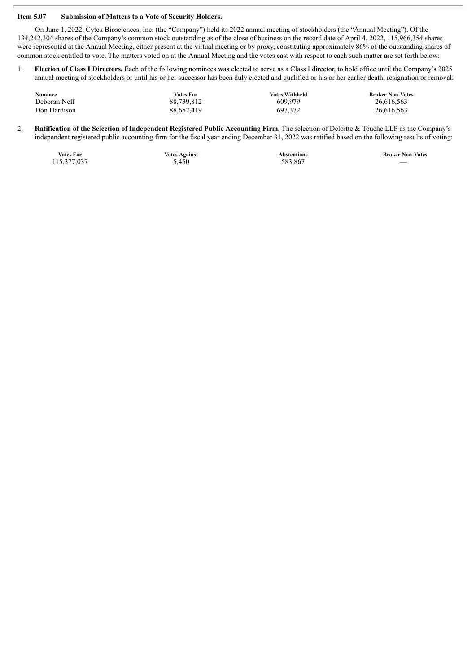#### **Item 5.07 Submission of Matters to a Vote of Security Holders.**

On June 1, 2022, Cytek Biosciences, Inc. (the "Company") held its 2022 annual meeting of stockholders (the "Annual Meeting"). Of the 134,242,304 shares of the Company's common stock outstanding as of the close of business on the record date of April 4, 2022, 115,966,354 shares were represented at the Annual Meeting, either present at the virtual meeting or by proxy, constituting approximately 86% of the outstanding shares of common stock entitled to vote. The matters voted on at the Annual Meeting and the votes cast with respect to each such matter are set forth below:

1. **Election of Class I Directors.** Each of the following nominees was elected to serve as a Class I director, to hold office until the Company's 2025 annual meeting of stockholders or until his or her successor has been duly elected and qualified or his or her earlier death, resignation or removal:

| Nominee      | Votes For  | Votes Withheld | <b>Broker Non-Votes</b> |
|--------------|------------|----------------|-------------------------|
| Deborah Neff | 88,739,812 | 609.979        | 26,616,563              |
| Don Hardison | 88.652.419 | 697.372        | 26.616.563              |

2. **Ratification of the Selection of Independent Registered Public Accounting Firm.** The selection of Deloitte & Touche LLP as the Company's independent registered public accounting firm for the fiscal year ending December 31, 2022 was ratified based on the following results of voting:

| <b>Votes For</b> | <b>Votes Against</b> | <b>Abstentions</b> | <b>Broker No</b> |
|------------------|----------------------|--------------------|------------------|
| 115,377,037      | 5,450                | 583.867            | __               |

**Votes Against**<br>  $5.450$ <br> **CO FOR EXECUTE:**<br>  $5.450$ <br> **CO FOR EXECUTE:**<br>  $5.450$